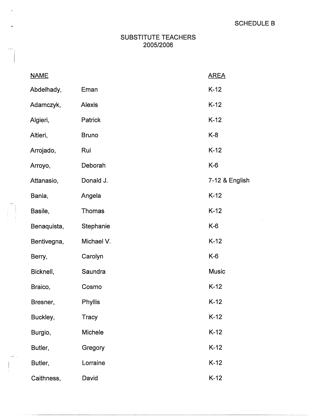## SUBSTITUTE TEACHERS 2005/2006

| <b>NAME</b> |              | <b>AREA</b>    |
|-------------|--------------|----------------|
| Abdelhady,  | Eman         | $K-12$         |
| Adamczyk,   | Alexis       | $K-12$         |
| Algieri,    | Patrick      | $K-12$         |
| Altieri,    | <b>Bruno</b> | $K-8$          |
| Arrojado,   | Rui          | $K-12$         |
| Arroyo,     | Deborah      | $K-6$          |
| Attanasio,  | Donald J.    | 7-12 & English |
| Bania,      | Angela       | $K-12$         |
| Basile,     | Thomas       | $K-12$         |
| Benaquista, | Stephanie    | $K-6$          |
| Bentivegna, | Michael V.   | $K-12$         |
| Berry,      | Carolyn      | $K-6$          |
| Bicknell,   | Saundra      | <b>Music</b>   |
| Braico,     | Cosmo        | $K-12$         |
| Bresner,    | Phyllis      | $K-12$         |
| Buckley,    | <b>Tracy</b> | $K-12$         |
| Burgio,     | Michele      | $K-12$         |
| Butler,     | Gregory      | $K-12$         |
| Butler,     | Lorraine     | $K-12$         |
| Caithness,  | David        | $K-12$         |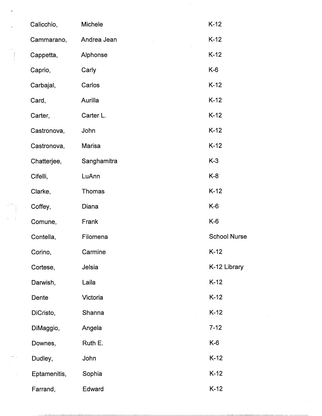| Calicchio,   | Michele     | $K-12$              |
|--------------|-------------|---------------------|
| Cammarano,   | Andrea Jean | $K-12$              |
| Cappetta,    | Alphonse    | $K-12$              |
| Caprio,      | Carly       | $K-6$               |
| Carbajal,    | Carlos      | $K-12$              |
| Card,        | Aurilla     | $K-12$              |
| Carter,      | Carter L.   | $K-12$              |
| Castronova,  | John        | $K-12$              |
| Castronova,  | Marisa      | $K-12$              |
| Chatterjee,  | Sanghamitra | $K-3$               |
| Cifelli,     | LuAnn       | K-8                 |
| Clarke,      | Thomas      | $K-12$              |
| Coffey,      | Diana       | K-6                 |
| Comune,      | Frank       | $K-6$               |
| Contella,    | Filomena    | <b>School Nurse</b> |
| Corino,      | Carmine     | $K-12$              |
| Cortese,     | Jelsia      | K-12 Library        |
| Darwish,     | Laila       | $K-12$              |
| Dente        | Victoria    | $K-12$              |
| DiCristo,    | Shanna      | $K-12$              |
| DiMaggio,    | Angela      | $7 - 12$            |
| Downes,      | Ruth E.     | $K-6$               |
| Dudley,      | John        | $K-12$              |
| Eptamenitis, | Sophia      | $K-12$              |
| Farrand,     | Edward      | $K-12$              |

 $\sim$   $\sim$ 

 $\frac{1}{\sqrt{2}}\sum_{i=1}^{n-1}\frac{1}{\sqrt{2}}\left(\frac{1}{\sqrt{2}}\right)^2\left(\frac{1}{\sqrt{2}}\right)^2\left(\frac{1}{\sqrt{2}}\right)^2.$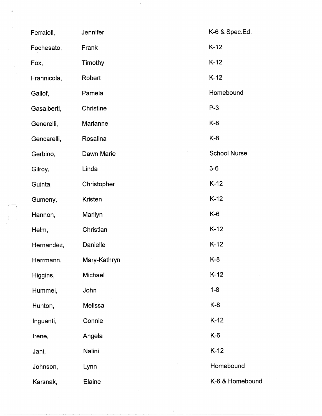| Ferraioli,  | Jennifer     | K-6 & Spec.Ed.      |
|-------------|--------------|---------------------|
| Fochesato,  | Frank        | $K-12$              |
| Fox,        | Timothy      | $K-12$              |
| Frannicola, | Robert       | $K-12$              |
| Gallof,     | Pamela       | Homebound           |
| Gasalberti, | Christine    | $P-3$               |
| Generelli,  | Marianne     | $K-8$               |
| Gencarelli, | Rosalina     | $K-8$               |
| Gerbino,    | Dawn Marie   | <b>School Nurse</b> |
| Gilroy,     | Linda        | $3-6$               |
| Guinta,     | Christopher  | $K-12$              |
| Gumeny,     | Kristen      | $K-12$              |
| Hannon,     | Marilyn      | $K-6$               |
| Helm,       | Christian    | $K-12$              |
| Hernandez,  | Danielle     | $K-12$              |
| Herrmann,   | Mary-Kathryn | $K-8$               |
| Higgins,    | Michael      | $K-12$              |
| Hummel,     | John         | $1 - 8$             |
| Hunton,     | Melissa      | $K-8$               |
| Inguanti,   | Connie       | $K-12$              |
| Irene,      | Angela       | $K-6$               |
| Jani,       | Nalini       | $K-12$              |
| Johnson,    | Lynn         | Homebound           |
| Karsnak,    | Elaine       | K-6 & Homebound     |

 $\hat{J}$ 

 $\mathcal{O}(\frac{1}{2})$ 

 $\epsilon$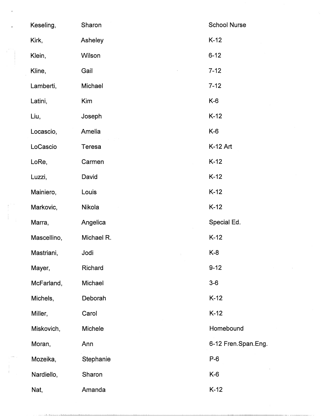| Keseling,   | Sharon     | <b>School Nurse</b> |
|-------------|------------|---------------------|
| Kirk,       | Asheley    | $K-12$              |
| Klein,      | Wilson     | $6 - 12$            |
| Kline,      | Gail       | $7 - 12$            |
| Lamberti,   | Michael    | $7 - 12$            |
| Latini,     | Kim        | $K-6$               |
| Liu,        | Joseph     | $K-12$              |
| Locascio,   | Amelia     | K-6                 |
| LoCascio    | Teresa     | K-12 Art            |
| LoRe,       | Carmen     | $K-12$              |
| Luzzi,      | David      | $K-12$              |
| Mainiero,   | Louis      | $K-12$              |
| Markovic,   | Nikola     | $K-12$              |
| Marra,      | Angelica   | Special Ed.         |
| Mascellino, | Michael R. | $K-12$              |
| Mastriani,  | Jodi       | $K-8$               |
| Mayer,      | Richard    | $9 - 12$            |
| McFarland,  | Michael    | $3-6$               |
| Michels,    | Deborah    | $K-12$              |
| Miller,     | Carol      | $K-12$              |
| Miskovich,  | Michele    | Homebound           |
| Moran,      | Ann        | 6-12 Fren.Span.Eng. |
| Mozeika,    | Stephanie  | $P-6$               |
| Nardiello,  | Sharon     | $K-6$               |
| Nat,        | Amanda     | $K-12$              |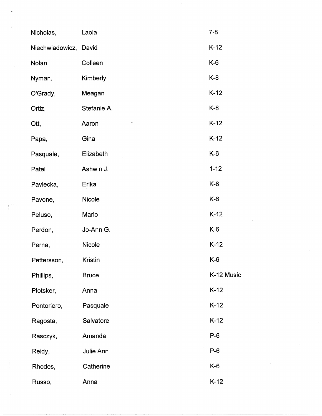| Nicholas,             | Laola          | $7 - 8$    |
|-----------------------|----------------|------------|
| Niechwiadowicz, David |                | $K-12$     |
| Nolan,                | Colleen        | K-6        |
| Nyman,                | Kimberly       | K-8        |
| O'Grady,              | Meagan         | $K-12$     |
| Ortiz,                | Stefanie A.    | K-8        |
| Ott,                  | Aaron          | $K-12$     |
| Papa,                 | Gina           | $K-12$     |
| Pasquale,             | Elizabeth      | $K-6$      |
| Patel                 | Ashwin J.      | $1 - 12$   |
| Pavlecka,             | Erika          | K-8        |
| Pavone,               | Nicole         | $K-6$      |
| Peluso,               | Mario          | $K-12$     |
| Perdon,               | Jo-Ann G.      | K-6        |
| Perna,                | Nicole         | $K-12$     |
| Pettersson,           | <b>Kristin</b> | $K-6$      |
| Phillips,             | <b>Bruce</b>   | K-12 Music |
| Plotsker,             | Anna           | $K-12$     |
| Pontoriero,           | Pasquale       | $K-12$     |
| Ragosta,              | Salvatore      | $K-12$     |
| Rasczyk,              | Amanda         | $P-6$      |
| Reidy,                | Julie Ann      | $P-6$      |
| Rhodes,               | Catherine      | $K-6$      |
| Russo,                | Anna           | $K-12$     |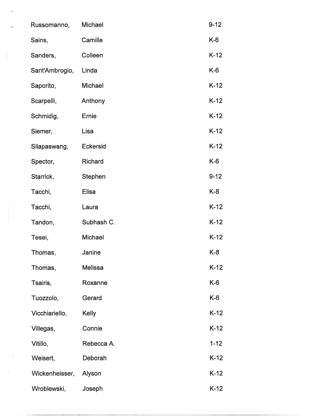| Russomanno,    | Michael        | $9 - 12$ |
|----------------|----------------|----------|
| Sains,         | Camille        | $K-6$    |
| Sanders,       | Colleen        | $K-12$   |
| Sant'Ambrogio, | Linda          | $K-6$    |
| Saporito,      | Michael        | $K-12$   |
| Scarpelli,     | Anthony        | $K-12$   |
| Schmidig,      | Ernie          | $K-12$   |
| Siemer,        | Lisa           | $K-12$   |
| Silapaswang,   | Eckersid       | $K-12$   |
| Spector,       | Richard        | $K-6$    |
| Starrick,      | Stephen        | $9 - 12$ |
| Tacchi,        | Elisa          | $K-8$    |
| Tacchi,        | Laura          | $K-12$   |
| Tandon,        | Subhash C.     | $K-12$   |
| Tesei,         | Michael        | $K-12$   |
| Thomas,        | Janine         | $K-8$    |
| Thomas,        | <b>Melissa</b> | $K-12$   |
| Tsairis,       | Roxanne        | $K-6$    |
| Tuozzolo,      | Gerard         | $K-6$    |
| Vicchiariello, | Kelly          | $K-12$   |
| Villegas,      | Connie         | $K-12$   |
| Vitillo,       | Rebecca A.     | $1 - 12$ |
| Weisert,       | Deborah        | $K-12$   |
| Wickenheisser, | Alyson         | $K-12$   |
| Wroblewski,    | Joseph         | $K-12$   |

 $\hat{\boldsymbol{\beta}}$ 

 $\begin{array}{c} \begin{array}{c} \begin{array}{c} \end{array} \\ \begin{array}{c} \end{array} \end{array} \end{array}$ 

 $\begin{pmatrix} 1 & 1 \\ 1 & 1 \\ 1 & 1 \end{pmatrix}$ 

 $\bar{4}$